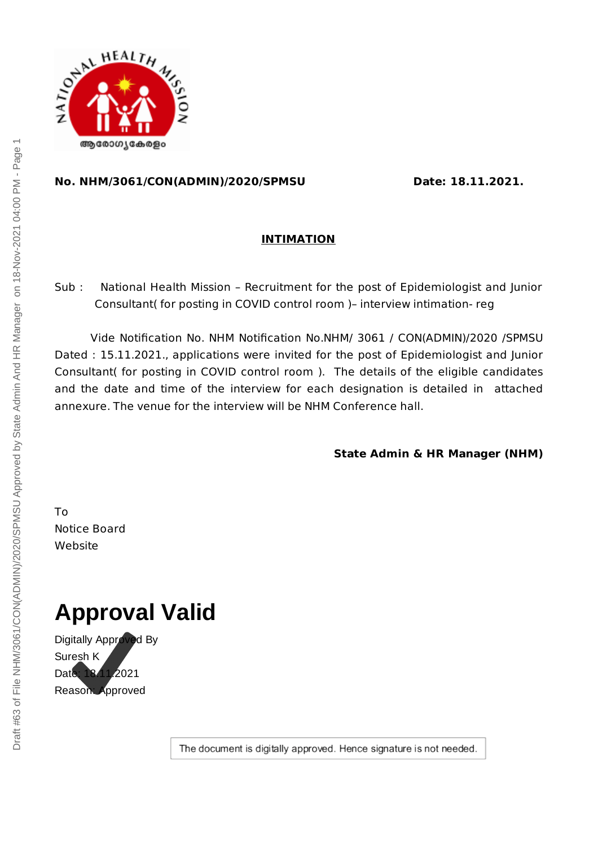

#### **No. NHM/3061/CON(ADMIN)/2020/SPMSU Date: 18.11.2021.**

### **INTIMATION**

Sub : National Health Mission – Recruitment for the post of Epidemiologist and Junior Consultant( for posting in COVID control room )– interview intimation- reg

Vide Notification No. NHM Notification No.NHM/ 3061 / CON(ADMIN)/2020 /SPMSU Dated : 15.11.2021., applications were invited for the post of Epidemiologist and Junior Consultant( for posting in COVID control room ). The details of the eligible candidates and the date and time of the interview for each designation is detailed in attached annexure. The venue for the interview will be NHM Conference hall.

**State Admin & HR Manager (NHM)**

To Notice Board Website

# **Approval Valid**

Digitally Approved By Suresh K Date: 18.11.2021 Reason: Approved

The document is digitally approved. Hence signature is not needed.